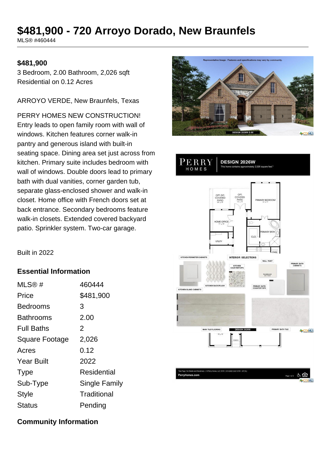# **\$481,900 - 720 Arroyo Dorado, New Braunfels**

MLS® #460444

### **\$481,900**

3 Bedroom, 2.00 Bathroom, 2,026 sqft Residential on 0.12 Acres

ARROYO VERDE, New Braunfels, Texas

PERRY HOMES NEW CONSTRUCTION! Entry leads to open family room with wall of windows. Kitchen features corner walk-in pantry and generous island with built-in seating space. Dining area set just across from kitchen. Primary suite includes bedroom with wall of windows. Double doors lead to primary bath with dual vanities, corner garden tub, separate glass-enclosed shower and walk-in closet. Home office with French doors set at back entrance. Secondary bedrooms feature walk-in closets. Extended covered backyard patio. Sprinkler system. Two-car garage.



DESIGN 2026W

PERRY

HOMES

MARY BEDRO OME OF **Collection INTERIOR SELECTIONS** WALL PAINT **PRIMARY BATH**<br>CABINETS **CONTRACTOR** CARINET **A**CTXMLS month & C

Built in 2022

### **Essential Information**

| MLS@#                 | 460444        |
|-----------------------|---------------|
| Price                 | \$481,900     |
| Bedrooms              | 3             |
| Bathrooms             | 2.00          |
| <b>Full Baths</b>     | 2             |
| <b>Square Footage</b> | 2,026         |
| Acres                 | 0.12          |
| <b>Year Built</b>     | 2022          |
| <b>Type</b>           | Residential   |
| Sub-Type              | Single Family |
| <b>Style</b>          | Traditional   |
| <b>Status</b>         | Pending       |

### **Community Information**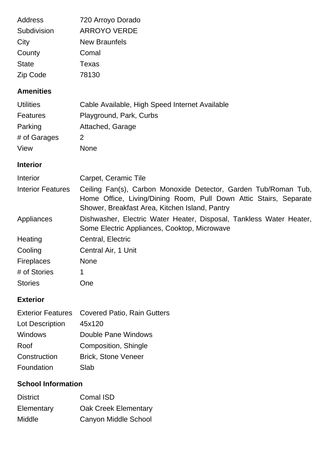| Address                  | 720 Arroyo Dorado                                                                                                                                                                      |
|--------------------------|----------------------------------------------------------------------------------------------------------------------------------------------------------------------------------------|
| Subdivision              | <b>ARROYO VERDE</b>                                                                                                                                                                    |
| City                     | <b>New Braunfels</b>                                                                                                                                                                   |
| County                   | Comal                                                                                                                                                                                  |
| <b>State</b>             | <b>Texas</b>                                                                                                                                                                           |
| Zip Code                 | 78130                                                                                                                                                                                  |
| <b>Amenities</b>         |                                                                                                                                                                                        |
| <b>Utilities</b>         | Cable Available, High Speed Internet Available                                                                                                                                         |
| <b>Features</b>          | Playground, Park, Curbs                                                                                                                                                                |
| Parking                  | Attached, Garage                                                                                                                                                                       |
| # of Garages             | 2                                                                                                                                                                                      |
| View                     | <b>None</b>                                                                                                                                                                            |
| <b>Interior</b>          |                                                                                                                                                                                        |
| Interior                 | Carpet, Ceramic Tile                                                                                                                                                                   |
| <b>Interior Features</b> | Ceiling Fan(s), Carbon Monoxide Detector, Garden Tub/Roman Tub,<br>Home Office, Living/Dining Room, Pull Down Attic Stairs, Separate<br>Shower, Breakfast Area, Kitchen Island, Pantry |
| Appliances               | Dishwasher, Electric Water Heater, Disposal, Tankless Water Heater,<br>Some Electric Appliances, Cooktop, Microwave                                                                    |
| Heating                  | Central, Electric                                                                                                                                                                      |
| Cooling                  | Central Air, 1 Unit                                                                                                                                                                    |
| Fireplaces               | None                                                                                                                                                                                   |
| # of Stories             | 1                                                                                                                                                                                      |
| <b>Stories</b>           | One                                                                                                                                                                                    |
| <b>Exterior</b>          |                                                                                                                                                                                        |

|                 | Exterior Features Covered Patio, Rain Gutters |
|-----------------|-----------------------------------------------|
| Lot Description | 45x120                                        |
| Windows         | Double Pane Windows                           |
| Roof            | Composition, Shingle                          |
| Construction    | <b>Brick, Stone Veneer</b>                    |
| Foundation      | Slab                                          |

# **School Information**

| <b>District</b> | <b>Comal ISD</b>            |
|-----------------|-----------------------------|
| Elementary      | <b>Oak Creek Elementary</b> |
| Middle          | Canyon Middle School        |